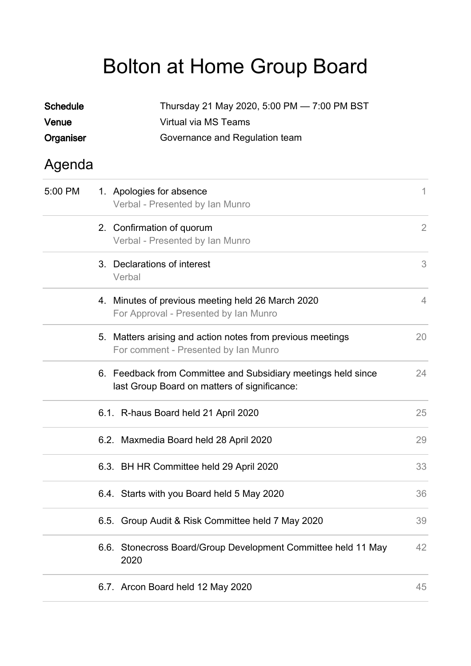## Bolton at Home Group Board

| <b>Schedule</b><br>Venue |                                | Thursday 21 May 2020, 5:00 PM - 7:00 PM BST<br>Virtual via MS Teams                                           |                |  |  |
|--------------------------|--------------------------------|---------------------------------------------------------------------------------------------------------------|----------------|--|--|
| Organiser                | Governance and Regulation team |                                                                                                               |                |  |  |
| Agenda                   |                                |                                                                                                               |                |  |  |
| 5:00 PM                  |                                | 1. Apologies for absence<br>Verbal - Presented by Ian Munro                                                   | $\mathbf{1}$   |  |  |
|                          |                                | 2. Confirmation of quorum<br>Verbal - Presented by Ian Munro                                                  | $\overline{2}$ |  |  |
|                          |                                | 3. Declarations of interest<br>Verbal                                                                         | 3              |  |  |
|                          |                                | 4. Minutes of previous meeting held 26 March 2020<br>For Approval - Presented by Ian Munro                    | $\overline{4}$ |  |  |
|                          |                                | 5. Matters arising and action notes from previous meetings<br>For comment - Presented by Ian Munro            | 20             |  |  |
|                          |                                | 6. Feedback from Committee and Subsidiary meetings held since<br>last Group Board on matters of significance: | 24             |  |  |
|                          |                                | 6.1. R-haus Board held 21 April 2020                                                                          | 25             |  |  |
|                          |                                | 6.2. Maxmedia Board held 28 April 2020                                                                        | 29             |  |  |
|                          |                                | 6.3. BH HR Committee held 29 April 2020                                                                       | 33             |  |  |
|                          |                                | 6.4. Starts with you Board held 5 May 2020                                                                    | 36             |  |  |
|                          | 6.5.                           | Group Audit & Risk Committee held 7 May 2020                                                                  | 39             |  |  |
|                          |                                | 6.6. Stonecross Board/Group Development Committee held 11 May<br>2020                                         | 42             |  |  |
|                          |                                | 6.7. Arcon Board held 12 May 2020                                                                             | 45             |  |  |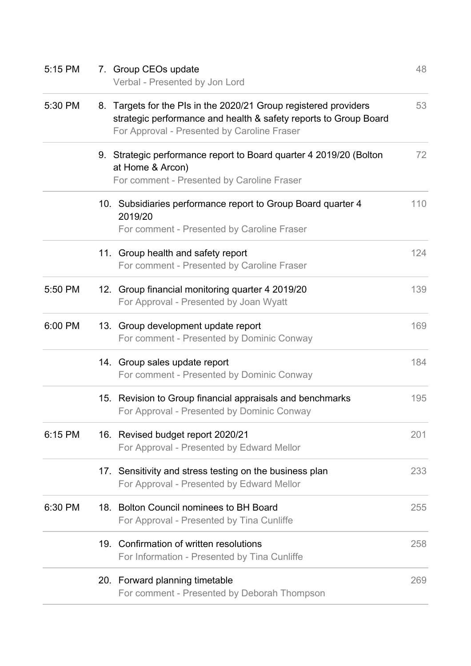| 5:15 PM | 7. Group CEOs update<br>Verbal - Presented by Jon Lord                                                                                                                              | 48  |
|---------|-------------------------------------------------------------------------------------------------------------------------------------------------------------------------------------|-----|
| 5:30 PM | 8. Targets for the PIs in the 2020/21 Group registered providers<br>strategic performance and health & safety reports to Group Board<br>For Approval - Presented by Caroline Fraser | 53  |
|         | 9. Strategic performance report to Board quarter 4 2019/20 (Bolton<br>at Home & Arcon)<br>For comment - Presented by Caroline Fraser                                                | 72  |
|         | 10. Subsidiaries performance report to Group Board quarter 4<br>2019/20<br>For comment - Presented by Caroline Fraser                                                               | 110 |
|         | 11. Group health and safety report<br>For comment - Presented by Caroline Fraser                                                                                                    | 124 |
| 5:50 PM | 12. Group financial monitoring quarter 4 2019/20<br>For Approval - Presented by Joan Wyatt                                                                                          | 139 |
| 6:00 PM | 13. Group development update report<br>For comment - Presented by Dominic Conway                                                                                                    | 169 |
|         | 14. Group sales update report<br>For comment - Presented by Dominic Conway                                                                                                          | 184 |
|         | 15. Revision to Group financial appraisals and benchmarks<br>For Approval - Presented by Dominic Conway                                                                             | 195 |
| 6:15 PM | 16. Revised budget report 2020/21<br>For Approval - Presented by Edward Mellor                                                                                                      | 201 |
|         | 17. Sensitivity and stress testing on the business plan<br>For Approval - Presented by Edward Mellor                                                                                | 233 |
| 6:30 PM | 18. Bolton Council nominees to BH Board<br>For Approval - Presented by Tina Cunliffe                                                                                                | 255 |
|         | 19. Confirmation of written resolutions<br>For Information - Presented by Tina Cunliffe                                                                                             | 258 |
|         | 20. Forward planning timetable<br>For comment - Presented by Deborah Thompson                                                                                                       | 269 |